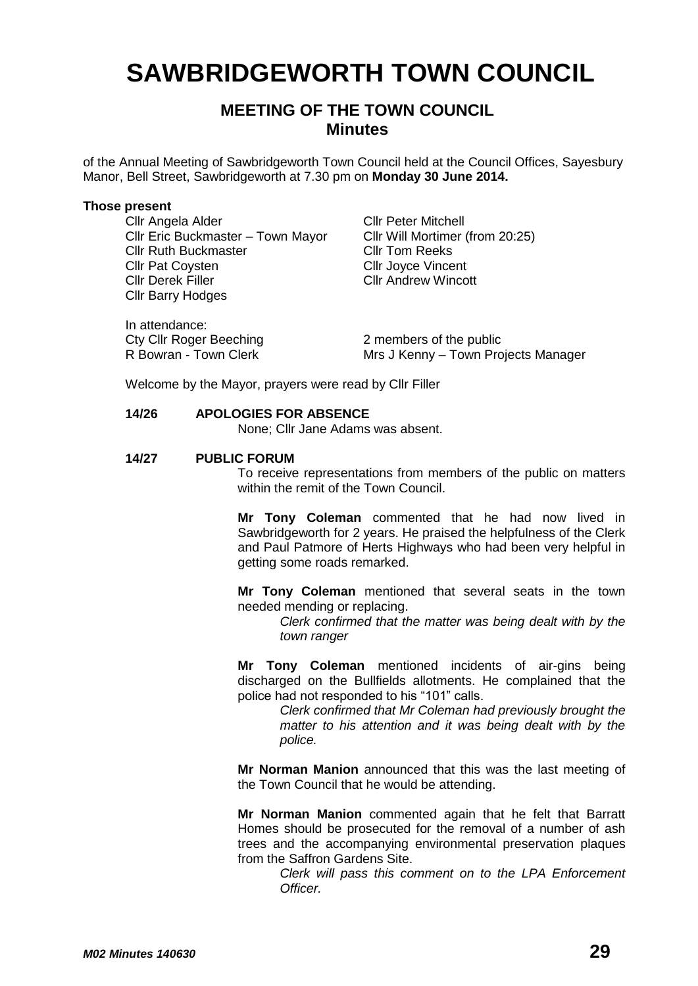# **SAWBRIDGEWORTH TOWN COUNCIL**

## **MEETING OF THE TOWN COUNCIL Minutes**

of the Annual Meeting of Sawbridgeworth Town Council held at the Council Offices, Sayesbury Manor, Bell Street, Sawbridgeworth at 7.30 pm on **Monday 30 June 2014.**

#### **Those present**

Cllr Angela Alder Cllr Peter Mitchell Cllr Eric Buckmaster – Town Mayor Cllr Will Mortimer (from 20:25) Cllr Ruth Buckmaster<br>Cllr Pat Covsten Cllr Derek Filler Cllr Andrew Wincott Cllr Barry Hodges

In attendance: Cty Cllr Roger Beeching<br>
R Bowran - Town Clerk<br>
Mrs J Kenny – Town Pro

Cllr Joyce Vincent

Mrs J Kenny – Town Projects Manager

Welcome by the Mayor, prayers were read by Cllr Filler

#### **14/26 APOLOGIES FOR ABSENCE**

None; Cllr Jane Adams was absent.

#### **14/27 PUBLIC FORUM**

To receive representations from members of the public on matters within the remit of the Town Council.

**Mr Tony Coleman** commented that he had now lived in Sawbridgeworth for 2 years. He praised the helpfulness of the Clerk and Paul Patmore of Herts Highways who had been very helpful in getting some roads remarked.

**Mr Tony Coleman** mentioned that several seats in the town needed mending or replacing.

> *Clerk confirmed that the matter was being dealt with by the town ranger*

**Mr Tony Coleman** mentioned incidents of air-gins being discharged on the Bullfields allotments. He complained that the police had not responded to his "101" calls.

> *Clerk confirmed that Mr Coleman had previously brought the matter to his attention and it was being dealt with by the police.*

**Mr Norman Manion** announced that this was the last meeting of the Town Council that he would be attending.

**Mr Norman Manion** commented again that he felt that Barratt Homes should be prosecuted for the removal of a number of ash trees and the accompanying environmental preservation plaques from the Saffron Gardens Site.

*Clerk will pass this comment on to the LPA Enforcement Officer.*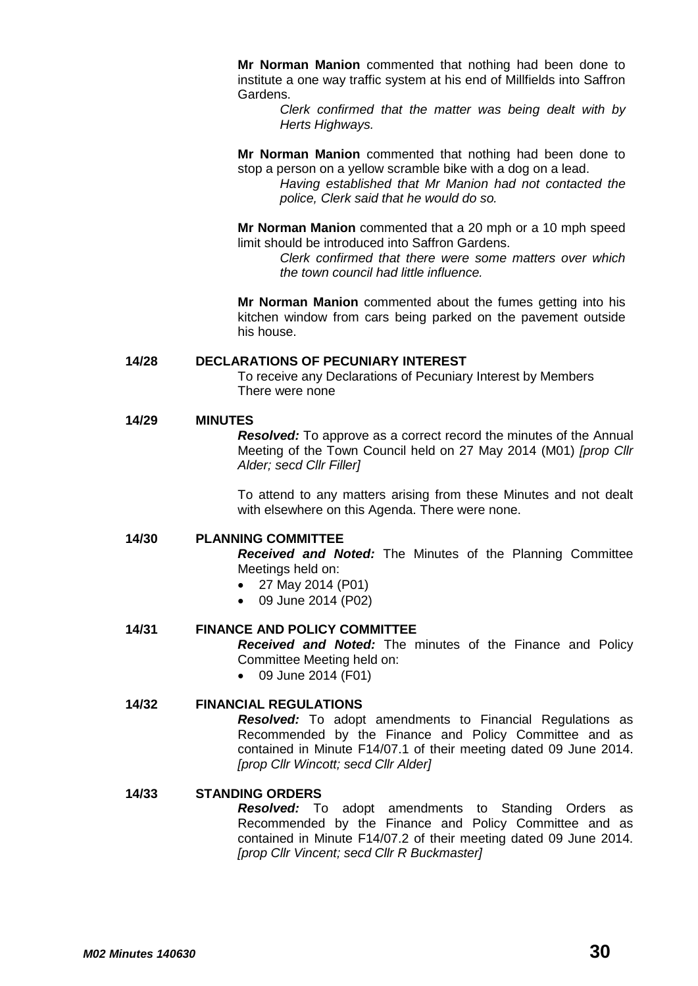**Mr Norman Manion** commented that nothing had been done to institute a one way traffic system at his end of Millfields into Saffron Gardens.

*Clerk confirmed that the matter was being dealt with by Herts Highways.*

**Mr Norman Manion** commented that nothing had been done to stop a person on a yellow scramble bike with a dog on a lead.

*Having established that Mr Manion had not contacted the police, Clerk said that he would do so.*

**Mr Norman Manion** commented that a 20 mph or a 10 mph speed limit should be introduced into Saffron Gardens.

*Clerk confirmed that there were some matters over which the town council had little influence.*

**Mr Norman Manion** commented about the fumes getting into his kitchen window from cars being parked on the pavement outside his house.

#### **14/28 DECLARATIONS OF PECUNIARY INTEREST**

To receive any Declarations of Pecuniary Interest by Members There were none

#### **14/29 MINUTES**

*Resolved:* To approve as a correct record the minutes of the Annual Meeting of the Town Council held on 27 May 2014 (M01) *[prop Cllr Alder; secd Cllr Filler]*

To attend to any matters arising from these Minutes and not dealt with elsewhere on this Agenda. There were none.

#### **14/30 PLANNING COMMITTEE**

*Received and Noted:* The Minutes of the Planning Committee Meetings held on:

- 27 May 2014 (P01)
- 09 June 2014 (P02)

#### **14/31 FINANCE AND POLICY COMMITTEE**

*Received and Noted:* The minutes of the Finance and Policy Committee Meeting held on:

09 June 2014 (F01)

#### **14/32 FINANCIAL REGULATIONS**

*Resolved:* To adopt amendments to Financial Regulations as Recommended by the Finance and Policy Committee and as contained in Minute F14/07.1 of their meeting dated 09 June 2014. *[prop Cllr Wincott; secd Cllr Alder]*

#### **14/33 STANDING ORDERS**

*Resolved:* To adopt amendments to Standing Orders as Recommended by the Finance and Policy Committee and as contained in Minute F14/07.2 of their meeting dated 09 June 2014. *[prop Cllr Vincent; secd Cllr R Buckmaster]*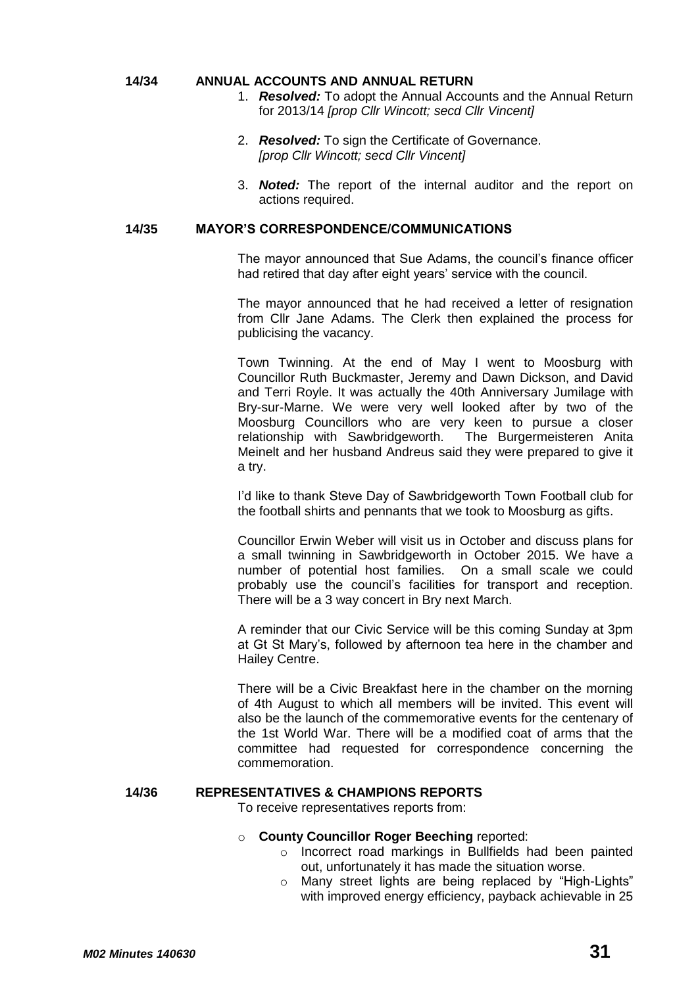#### **14/34 ANNUAL ACCOUNTS AND ANNUAL RETURN**

- 1. *Resolved:* To adopt the Annual Accounts and the Annual Return for 2013/14 *[prop Cllr Wincott; secd Cllr Vincent]*
- 2. *Resolved:* To sign the Certificate of Governance. *[prop Cllr Wincott; secd Cllr Vincent]*
- 3. *Noted:* The report of the internal auditor and the report on actions required.

#### **14/35 MAYOR'S CORRESPONDENCE/COMMUNICATIONS**

The mayor announced that Sue Adams, the council's finance officer had retired that day after eight years' service with the council.

The mayor announced that he had received a letter of resignation from Cllr Jane Adams. The Clerk then explained the process for publicising the vacancy.

Town Twinning. At the end of May I went to Moosburg with Councillor Ruth Buckmaster, Jeremy and Dawn Dickson, and David and Terri Royle. It was actually the 40th Anniversary Jumilage with Bry-sur-Marne. We were very well looked after by two of the Moosburg Councillors who are very keen to pursue a closer relationship with Sawbridgeworth. The Burgermeisteren Anita Meinelt and her husband Andreus said they were prepared to give it a try.

I'd like to thank Steve Day of Sawbridgeworth Town Football club for the football shirts and pennants that we took to Moosburg as gifts.

Councillor Erwin Weber will visit us in October and discuss plans for a small twinning in Sawbridgeworth in October 2015. We have a number of potential host families. On a small scale we could probably use the council's facilities for transport and reception. There will be a 3 way concert in Bry next March.

A reminder that our Civic Service will be this coming Sunday at 3pm at Gt St Mary's, followed by afternoon tea here in the chamber and Hailey Centre.

There will be a Civic Breakfast here in the chamber on the morning of 4th August to which all members will be invited. This event will also be the launch of the commemorative events for the centenary of the 1st World War. There will be a modified coat of arms that the committee had requested for correspondence concerning the commemoration.

#### **14/36 REPRESENTATIVES & CHAMPIONS REPORTS**

To receive representatives reports from:

#### o **County Councillor Roger Beeching** reported:

- o Incorrect road markings in Bullfields had been painted out, unfortunately it has made the situation worse.
- o Many street lights are being replaced by "High-Lights" with improved energy efficiency, payback achievable in 25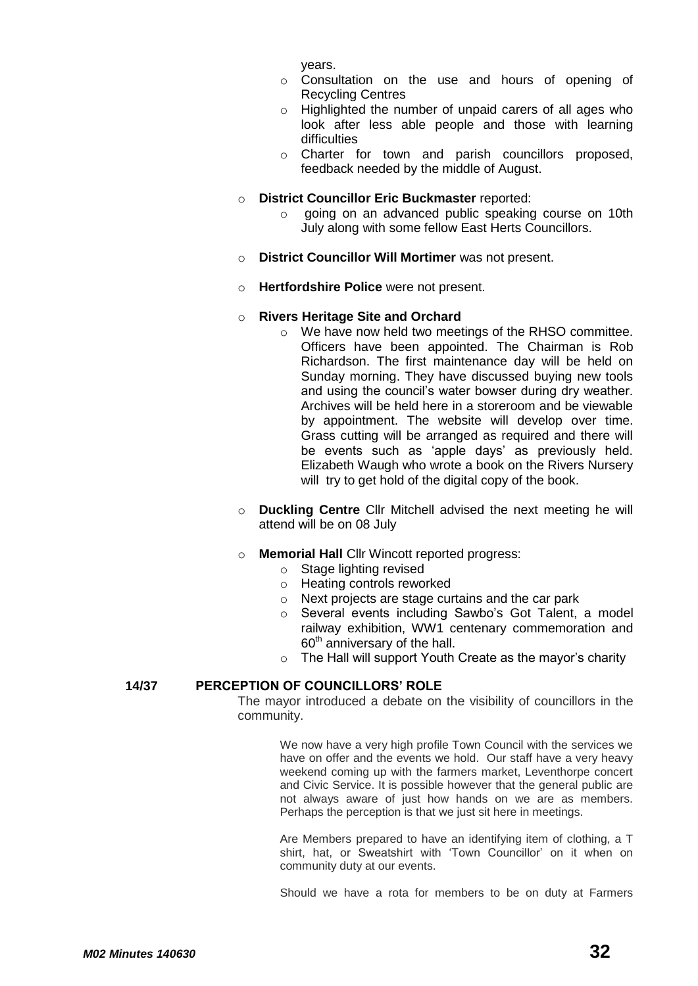years.

- o Consultation on the use and hours of opening of Recycling Centres
- o Highlighted the number of unpaid carers of all ages who look after less able people and those with learning difficulties
- o Charter for town and parish councillors proposed, feedback needed by the middle of August.

#### o **District Councillor Eric Buckmaster** reported:

- o going on an advanced public speaking course on 10th July along with some fellow East Herts Councillors.
- o **District Councillor Will Mortimer** was not present.
- o **Hertfordshire Police** were not present.

#### o **Rivers Heritage Site and Orchard**

- o We have now held two meetings of the RHSO committee. Officers have been appointed. The Chairman is Rob Richardson. The first maintenance day will be held on Sunday morning. They have discussed buying new tools and using the council's water bowser during dry weather. Archives will be held here in a storeroom and be viewable by appointment. The website will develop over time. Grass cutting will be arranged as required and there will be events such as 'apple days' as previously held. Elizabeth Waugh who wrote a book on the Rivers Nursery will try to get hold of the digital copy of the book.
- o **Duckling Centre** Cllr Mitchell advised the next meeting he will attend will be on 08 July

#### o **Memorial Hall** Cllr Wincott reported progress:

- o Stage lighting revised
	- o Heating controls reworked
	- o Next projects are stage curtains and the car park
	- o Several events including Sawbo's Got Talent, a model railway exhibition, WW1 centenary commemoration and  $60<sup>th</sup>$  anniversary of the hall.
	- o The Hall will support Youth Create as the mayor's charity

### **14/37 PERCEPTION OF COUNCILLORS' ROLE**

The mayor introduced a debate on the visibility of councillors in the community.

> We now have a very high profile Town Council with the services we have on offer and the events we hold. Our staff have a very heavy weekend coming up with the farmers market, Leventhorpe concert and Civic Service. It is possible however that the general public are not always aware of just how hands on we are as members. Perhaps the perception is that we just sit here in meetings.

> Are Members prepared to have an identifying item of clothing, a T shirt, hat, or Sweatshirt with 'Town Councillor' on it when on community duty at our events.

> Should we have a rota for members to be on duty at Farmers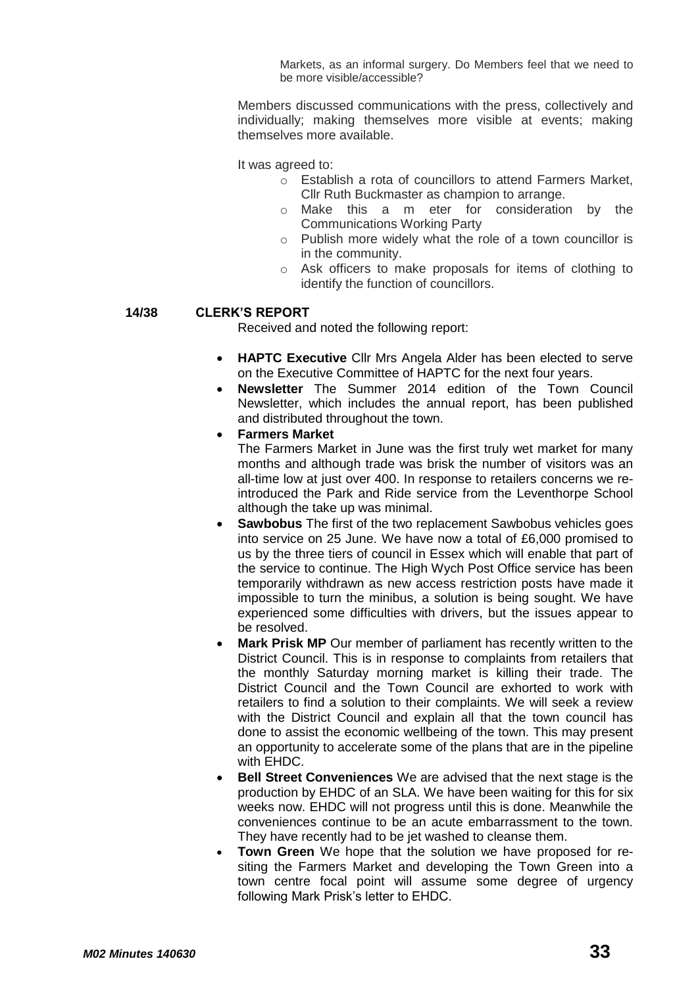Markets, as an informal surgery. Do Members feel that we need to be more visible/accessible?

Members discussed communications with the press, collectively and individually; making themselves more visible at events; making themselves more available.

It was agreed to:

- o Establish a rota of councillors to attend Farmers Market, Cllr Ruth Buckmaster as champion to arrange.
- o Make this a m eter for consideration by the Communications Working Party
- o Publish more widely what the role of a town councillor is in the community.
- o Ask officers to make proposals for items of clothing to identify the function of councillors.

#### **14/38 CLERK'S REPORT**

Received and noted the following report:

- **HAPTC Executive** Cllr Mrs Angela Alder has been elected to serve on the Executive Committee of HAPTC for the next four years.
- **Newsletter** The Summer 2014 edition of the Town Council Newsletter, which includes the annual report, has been published and distributed throughout the town.
- **Farmers Market**

The Farmers Market in June was the first truly wet market for many months and although trade was brisk the number of visitors was an all-time low at just over 400. In response to retailers concerns we reintroduced the Park and Ride service from the Leventhorpe School although the take up was minimal.

- **Sawbobus** The first of the two replacement Sawbobus vehicles goes into service on 25 June. We have now a total of £6,000 promised to us by the three tiers of council in Essex which will enable that part of the service to continue. The High Wych Post Office service has been temporarily withdrawn as new access restriction posts have made it impossible to turn the minibus, a solution is being sought. We have experienced some difficulties with drivers, but the issues appear to be resolved.
- **Mark Prisk MP** Our member of parliament has recently written to the District Council. This is in response to complaints from retailers that the monthly Saturday morning market is killing their trade. The District Council and the Town Council are exhorted to work with retailers to find a solution to their complaints. We will seek a review with the District Council and explain all that the town council has done to assist the economic wellbeing of the town. This may present an opportunity to accelerate some of the plans that are in the pipeline with EHDC.
- **Bell Street Conveniences** We are advised that the next stage is the production by EHDC of an SLA. We have been waiting for this for six weeks now. EHDC will not progress until this is done. Meanwhile the conveniences continue to be an acute embarrassment to the town. They have recently had to be jet washed to cleanse them.
- **Town Green** We hope that the solution we have proposed for resiting the Farmers Market and developing the Town Green into a town centre focal point will assume some degree of urgency following Mark Prisk's letter to EHDC.